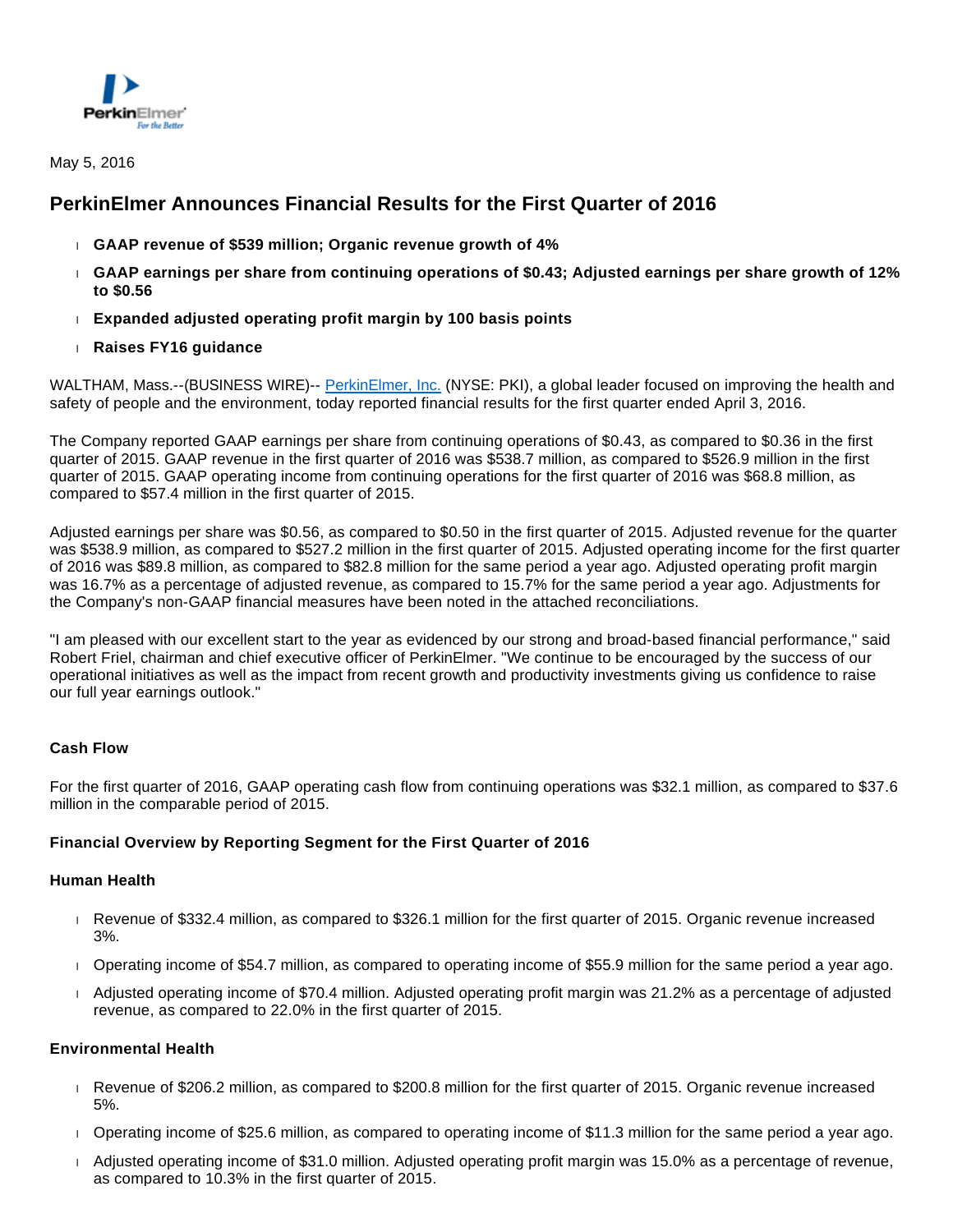

# **PerkinElmer Announces Financial Results for the First Quarter of 2016**

- **GAAP revenue of \$539 million; Organic revenue growth of 4%**
- **GAAP earnings per share from continuing operations of \$0.43; Adjusted earnings per share growth of 12% to \$0.56**
- **Expanded adjusted operating profit margin by 100 basis points**
- **Raises FY16 guidance**

WALTHAM, Mass.--(BUSINESS WIRE)-- [PerkinElmer, Inc.](http://cts.businesswire.com/ct/CT?id=smartlink&url=http%3A%2F%2Fwww.perkinelmer.com&esheet=51334674&newsitemid=20160505006590&lan=en-US&anchor=PerkinElmer%2C+Inc.&index=1&md5=cf6fa495e997e9f3b6a00e69a09b5b82) (NYSE: PKI), a global leader focused on improving the health and safety of people and the environment, today reported financial results for the first quarter ended April 3, 2016.

The Company reported GAAP earnings per share from continuing operations of \$0.43, as compared to \$0.36 in the first quarter of 2015. GAAP revenue in the first quarter of 2016 was \$538.7 million, as compared to \$526.9 million in the first quarter of 2015. GAAP operating income from continuing operations for the first quarter of 2016 was \$68.8 million, as compared to \$57.4 million in the first quarter of 2015.

Adjusted earnings per share was \$0.56, as compared to \$0.50 in the first quarter of 2015. Adjusted revenue for the quarter was \$538.9 million, as compared to \$527.2 million in the first quarter of 2015. Adjusted operating income for the first quarter of 2016 was \$89.8 million, as compared to \$82.8 million for the same period a year ago. Adjusted operating profit margin was 16.7% as a percentage of adjusted revenue, as compared to 15.7% for the same period a year ago. Adjustments for the Company's non-GAAP financial measures have been noted in the attached reconciliations.

"I am pleased with our excellent start to the year as evidenced by our strong and broad-based financial performance," said Robert Friel, chairman and chief executive officer of PerkinElmer. "We continue to be encouraged by the success of our operational initiatives as well as the impact from recent growth and productivity investments giving us confidence to raise our full year earnings outlook."

# **Cash Flow**

For the first quarter of 2016, GAAP operating cash flow from continuing operations was \$32.1 million, as compared to \$37.6 million in the comparable period of 2015.

# **Financial Overview by Reporting Segment for the First Quarter of 2016**

#### **Human Health**

- Revenue of \$332.4 million, as compared to \$326.1 million for the first quarter of 2015. Organic revenue increased 3%.
- Operating income of \$54.7 million, as compared to operating income of \$55.9 million for the same period a year ago.
- Adjusted operating income of \$70.4 million. Adjusted operating profit margin was 21.2% as a percentage of adjusted revenue, as compared to 22.0% in the first quarter of 2015.

#### **Environmental Health**

- Revenue of \$206.2 million, as compared to \$200.8 million for the first quarter of 2015. Organic revenue increased 5%.
- Operating income of \$25.6 million, as compared to operating income of \$11.3 million for the same period a year ago.
- Adjusted operating income of \$31.0 million. Adjusted operating profit margin was 15.0% as a percentage of revenue, as compared to 10.3% in the first quarter of 2015.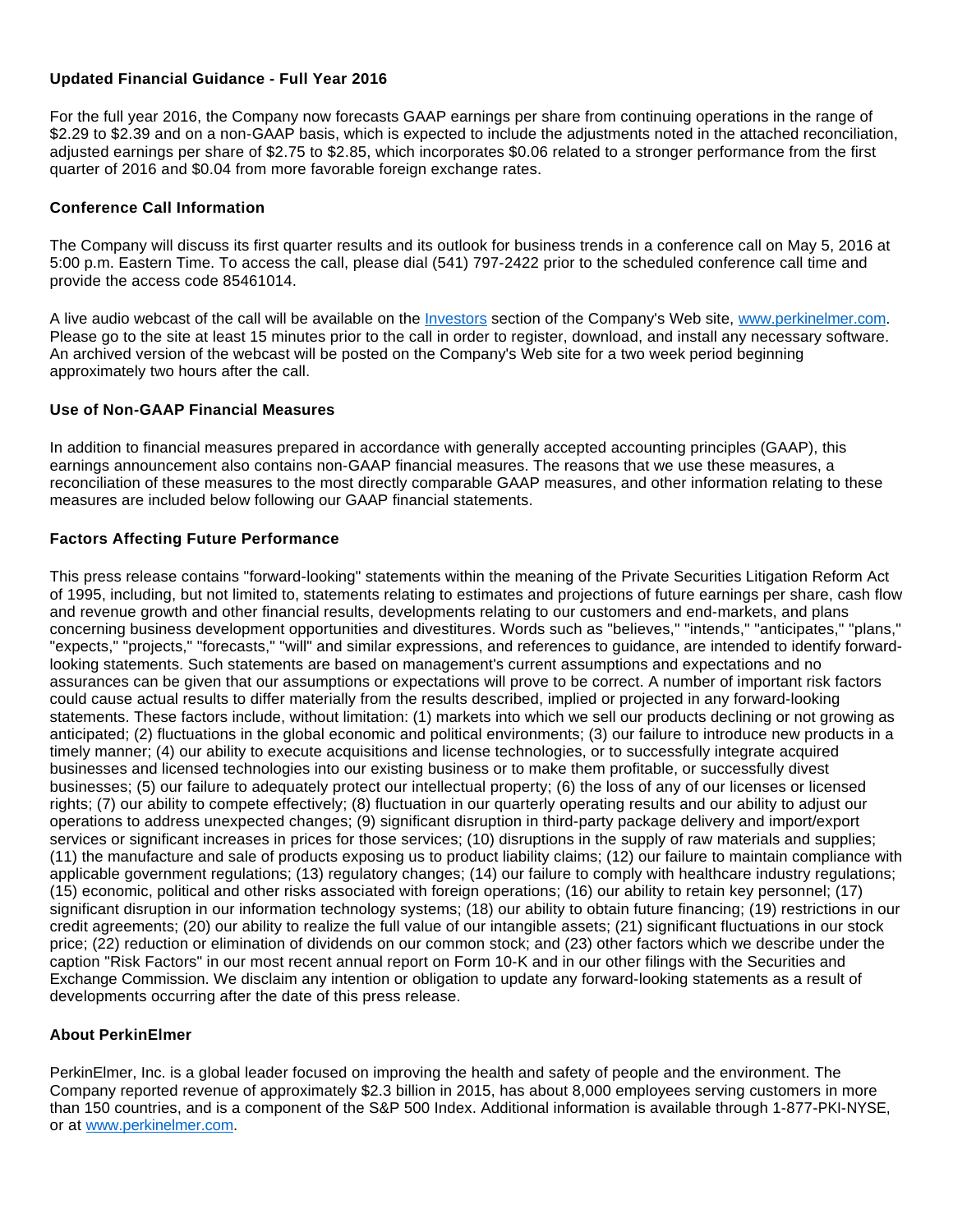#### **Updated Financial Guidance - Full Year 2016**

For the full year 2016, the Company now forecasts GAAP earnings per share from continuing operations in the range of \$2.29 to \$2.39 and on a non-GAAP basis, which is expected to include the adjustments noted in the attached reconciliation, adjusted earnings per share of \$2.75 to \$2.85, which incorporates \$0.06 related to a stronger performance from the first quarter of 2016 and \$0.04 from more favorable foreign exchange rates.

#### **Conference Call Information**

The Company will discuss its first quarter results and its outlook for business trends in a conference call on May 5, 2016 at 5:00 p.m. Eastern Time. To access the call, please dial (541) 797-2422 prior to the scheduled conference call time and provide the access code 85461014.

A live audio webcast of the call will be available on the [Investors](http://cts.businesswire.com/ct/CT?id=smartlink&url=http%3A%2F%2Fwww.perkinelmer.com%2Fcorporate%2Finvestors%2F&esheet=51334674&newsitemid=20160505006590&lan=en-US&anchor=Investors&index=2&md5=4423d99e160fd5fd554787a0d447944a) section of the Company's Web site, [www.perkinelmer.com](http://cts.businesswire.com/ct/CT?id=smartlink&url=http%3A%2F%2Fwww.perkinelmer.com&esheet=51334674&newsitemid=20160505006590&lan=en-US&anchor=www.perkinelmer.com&index=3&md5=ab705e85023154370ce2695d90237301). Please go to the site at least 15 minutes prior to the call in order to register, download, and install any necessary software. An archived version of the webcast will be posted on the Company's Web site for a two week period beginning approximately two hours after the call.

#### **Use of Non-GAAP Financial Measures**

In addition to financial measures prepared in accordance with generally accepted accounting principles (GAAP), this earnings announcement also contains non-GAAP financial measures. The reasons that we use these measures, a reconciliation of these measures to the most directly comparable GAAP measures, and other information relating to these measures are included below following our GAAP financial statements.

#### **Factors Affecting Future Performance**

This press release contains "forward-looking" statements within the meaning of the Private Securities Litigation Reform Act of 1995, including, but not limited to, statements relating to estimates and projections of future earnings per share, cash flow and revenue growth and other financial results, developments relating to our customers and end-markets, and plans concerning business development opportunities and divestitures. Words such as "believes," "intends," "anticipates," "plans," "expects," "projects," "forecasts," "will" and similar expressions, and references to guidance, are intended to identify forwardlooking statements. Such statements are based on management's current assumptions and expectations and no assurances can be given that our assumptions or expectations will prove to be correct. A number of important risk factors could cause actual results to differ materially from the results described, implied or projected in any forward-looking statements. These factors include, without limitation: (1) markets into which we sell our products declining or not growing as anticipated; (2) fluctuations in the global economic and political environments; (3) our failure to introduce new products in a timely manner; (4) our ability to execute acquisitions and license technologies, or to successfully integrate acquired businesses and licensed technologies into our existing business or to make them profitable, or successfully divest businesses; (5) our failure to adequately protect our intellectual property; (6) the loss of any of our licenses or licensed rights; (7) our ability to compete effectively; (8) fluctuation in our quarterly operating results and our ability to adjust our operations to address unexpected changes; (9) significant disruption in third-party package delivery and import/export services or significant increases in prices for those services; (10) disruptions in the supply of raw materials and supplies; (11) the manufacture and sale of products exposing us to product liability claims; (12) our failure to maintain compliance with applicable government regulations; (13) regulatory changes; (14) our failure to comply with healthcare industry regulations; (15) economic, political and other risks associated with foreign operations; (16) our ability to retain key personnel; (17) significant disruption in our information technology systems; (18) our ability to obtain future financing; (19) restrictions in our credit agreements; (20) our ability to realize the full value of our intangible assets; (21) significant fluctuations in our stock price; (22) reduction or elimination of dividends on our common stock; and (23) other factors which we describe under the caption "Risk Factors" in our most recent annual report on Form 10-K and in our other filings with the Securities and Exchange Commission. We disclaim any intention or obligation to update any forward-looking statements as a result of developments occurring after the date of this press release.

#### **About PerkinElmer**

PerkinElmer, Inc. is a global leader focused on improving the health and safety of people and the environment. The Company reported revenue of approximately \$2.3 billion in 2015, has about 8,000 employees serving customers in more than 150 countries, and is a component of the S&P 500 Index. Additional information is available through 1-877-PKI-NYSE, or at [www.perkinelmer.com](http://cts.businesswire.com/ct/CT?id=smartlink&url=http%3A%2F%2Fwww.perkinelmer.com&esheet=51334674&newsitemid=20160505006590&lan=en-US&anchor=www.perkinelmer.com&index=4&md5=222999c37b6bbaab840a4d7cd284a796).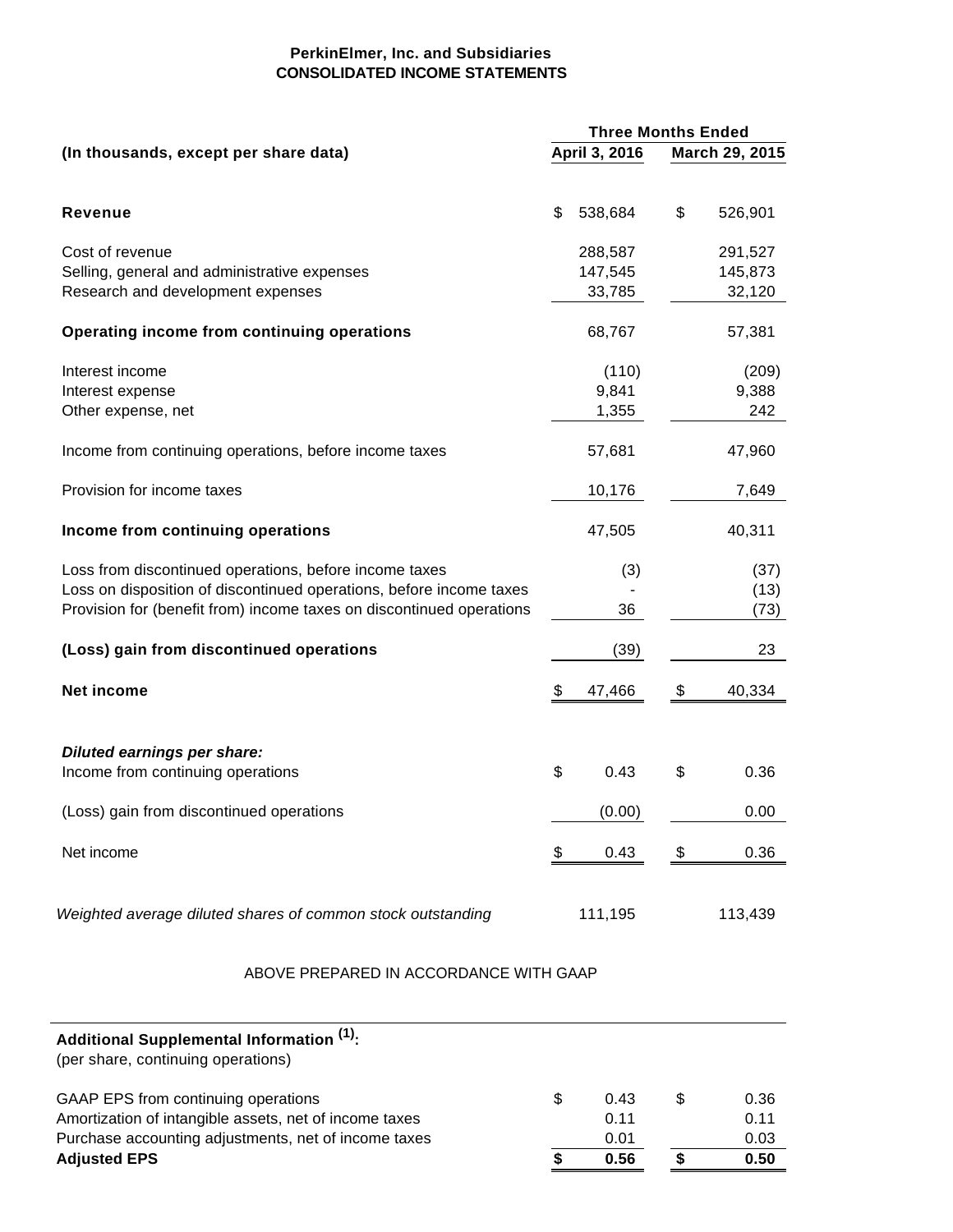# **PerkinElmer, Inc. and Subsidiaries CONSOLIDATED INCOME STATEMENTS**

|                                                                      |    |               |                | <b>Three Months Ended</b> |  |  |  |
|----------------------------------------------------------------------|----|---------------|----------------|---------------------------|--|--|--|
| (In thousands, except per share data)                                |    | April 3, 2016 | March 29, 2015 |                           |  |  |  |
| Revenue                                                              | \$ | 538,684       | \$             | 526,901                   |  |  |  |
| Cost of revenue                                                      |    | 288,587       |                | 291,527                   |  |  |  |
| Selling, general and administrative expenses                         |    | 147,545       |                | 145,873                   |  |  |  |
| Research and development expenses                                    |    | 33,785        |                | 32,120                    |  |  |  |
| Operating income from continuing operations                          |    | 68,767        |                | 57,381                    |  |  |  |
| Interest income                                                      |    | (110)         |                | (209)                     |  |  |  |
| Interest expense                                                     |    | 9,841         |                | 9,388                     |  |  |  |
| Other expense, net                                                   |    | 1,355         |                | 242                       |  |  |  |
| Income from continuing operations, before income taxes               |    | 57,681        |                | 47,960                    |  |  |  |
| Provision for income taxes                                           |    | 10,176        |                | 7,649                     |  |  |  |
| Income from continuing operations                                    |    | 47,505        |                | 40,311                    |  |  |  |
| Loss from discontinued operations, before income taxes               |    | (3)           |                | (37)                      |  |  |  |
| Loss on disposition of discontinued operations, before income taxes  |    |               |                | (13)                      |  |  |  |
| Provision for (benefit from) income taxes on discontinued operations |    | 36            |                | (73)                      |  |  |  |
| (Loss) gain from discontinued operations                             |    | (39)          |                | 23                        |  |  |  |
| <b>Net income</b>                                                    | \$ | 47,466        | \$             | 40,334                    |  |  |  |
|                                                                      |    |               |                |                           |  |  |  |
| <b>Diluted earnings per share:</b>                                   |    |               |                |                           |  |  |  |
| Income from continuing operations                                    | \$ | 0.43          | \$             | 0.36                      |  |  |  |
| (Loss) gain from discontinued operations                             |    | (0.00)        |                | 0.00                      |  |  |  |
| Net income                                                           | \$ | 0.43          | \$             | 0.36                      |  |  |  |
| Weighted average diluted shares of common stock outstanding          |    | 111,195       |                | 113,439                   |  |  |  |

# ABOVE PREPARED IN ACCORDANCE WITH GAAP

| Additional Supplemental Information (1).<br>(per share, continuing operations) |     |      |   |      |
|--------------------------------------------------------------------------------|-----|------|---|------|
| GAAP EPS from continuing operations                                            | \$. | 0.43 | S | 0.36 |
| Amortization of intangible assets, net of income taxes                         |     | 0.11 |   | 0.11 |
| Purchase accounting adjustments, net of income taxes                           |     | 0.01 |   | 0.03 |
| <b>Adjusted EPS</b>                                                            |     | 0.56 |   | 0.50 |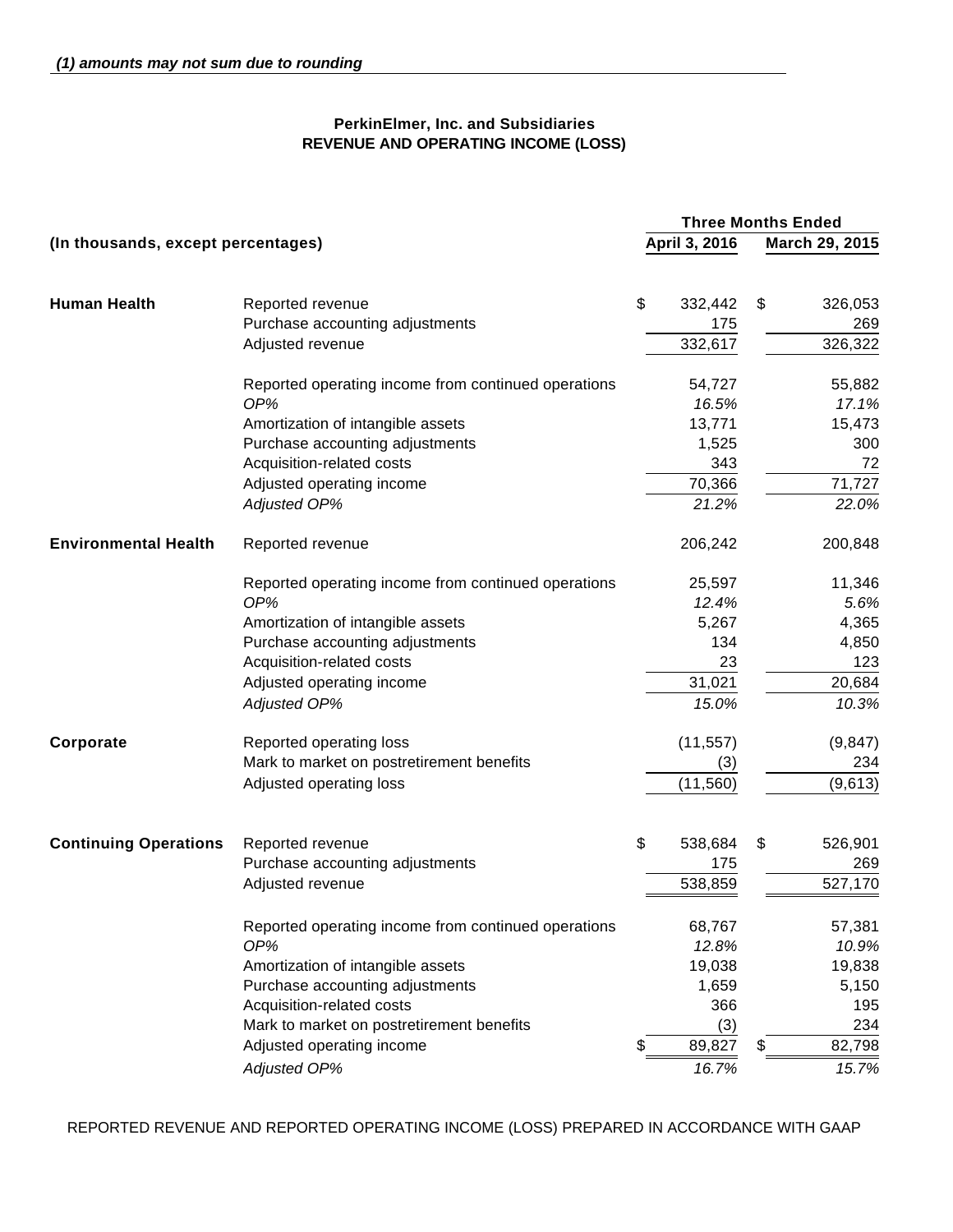## **PerkinElmer, Inc. and Subsidiaries REVENUE AND OPERATING INCOME (LOSS)**

|                                    | <b>Three Months Ended</b>                           |    |               |    |                |
|------------------------------------|-----------------------------------------------------|----|---------------|----|----------------|
| (In thousands, except percentages) |                                                     |    | April 3, 2016 |    | March 29, 2015 |
| <b>Human Health</b>                | Reported revenue                                    | \$ | 332,442       | \$ | 326,053        |
|                                    | Purchase accounting adjustments                     |    | 175           |    | 269            |
|                                    | Adjusted revenue                                    |    | 332,617       |    | 326,322        |
|                                    | Reported operating income from continued operations |    | 54,727        |    | 55,882         |
|                                    | OP%                                                 |    | 16.5%         |    | 17.1%          |
|                                    | Amortization of intangible assets                   |    | 13,771        |    | 15,473         |
|                                    | Purchase accounting adjustments                     |    | 1,525         |    | 300            |
|                                    | Acquisition-related costs                           |    | 343           |    | 72             |
|                                    | Adjusted operating income                           |    | 70,366        |    | 71,727         |
|                                    | Adjusted OP%                                        |    | 21.2%         |    | 22.0%          |
| <b>Environmental Health</b>        | Reported revenue                                    |    | 206,242       |    | 200,848        |
|                                    | Reported operating income from continued operations |    | 25,597        |    | 11,346         |
|                                    | OP%                                                 |    | 12.4%         |    | 5.6%           |
|                                    | Amortization of intangible assets                   |    | 5,267         |    | 4,365          |
|                                    | Purchase accounting adjustments                     |    | 134           |    | 4,850          |
|                                    | Acquisition-related costs                           |    | 23            |    | 123            |
|                                    | Adjusted operating income                           |    | 31,021        |    | 20,684         |
|                                    | Adjusted OP%                                        |    | 15.0%         |    | 10.3%          |
| Corporate                          | Reported operating loss                             |    | (11, 557)     |    | (9, 847)       |
|                                    | Mark to market on postretirement benefits           |    | (3)           |    | 234            |
|                                    | Adjusted operating loss                             |    | (11, 560)     |    | (9,613)        |
|                                    |                                                     |    |               |    |                |
| <b>Continuing Operations</b>       | Reported revenue                                    | \$ | 538,684       | \$ | 526,901        |
|                                    | Purchase accounting adjustments                     |    | 175           |    | 269            |
|                                    | Adjusted revenue                                    |    | 538,859       |    | 527,170        |
|                                    | Reported operating income from continued operations |    | 68,767        |    | 57,381         |
|                                    | OP%                                                 |    | 12.8%         |    | 10.9%          |
|                                    | Amortization of intangible assets                   |    | 19,038        |    | 19,838         |
|                                    | Purchase accounting adjustments                     |    | 1,659         |    | 5,150          |
|                                    | Acquisition-related costs                           |    | 366           |    | 195            |
|                                    | Mark to market on postretirement benefits           |    | (3)           |    | 234            |
|                                    | Adjusted operating income                           | \$ | 89,827        | \$ | 82,798         |
|                                    | Adjusted OP%                                        |    | 16.7%         |    | 15.7%          |

REPORTED REVENUE AND REPORTED OPERATING INCOME (LOSS) PREPARED IN ACCORDANCE WITH GAAP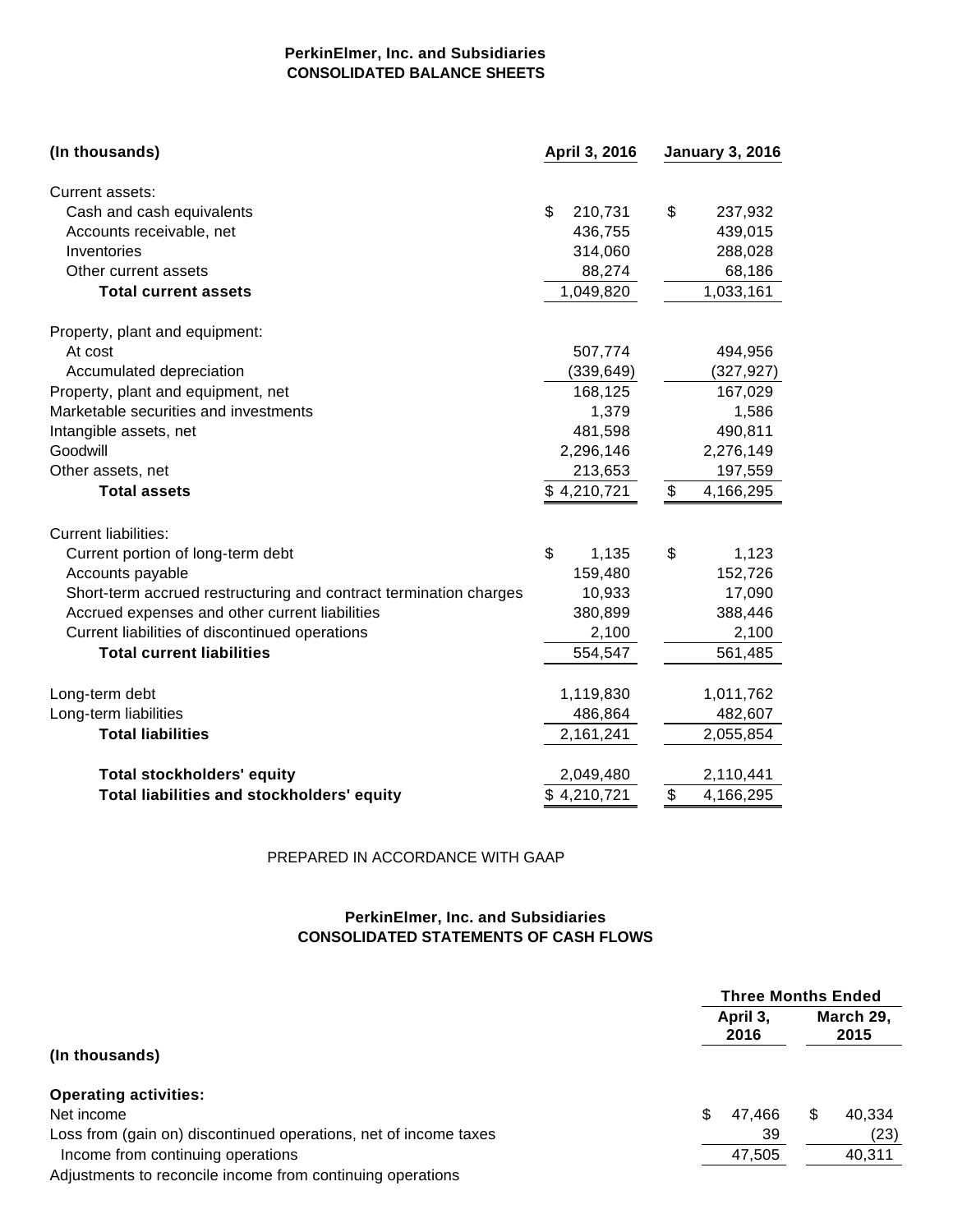# **PerkinElmer, Inc. and Subsidiaries CONSOLIDATED BALANCE SHEETS**

| April 3, 2016<br>(In thousands)                                   |               |    | <b>January 3, 2016</b> |  |  |
|-------------------------------------------------------------------|---------------|----|------------------------|--|--|
| Current assets:                                                   |               |    |                        |  |  |
| Cash and cash equivalents                                         | \$<br>210,731 | \$ | 237,932                |  |  |
| Accounts receivable, net                                          | 436,755       |    | 439,015                |  |  |
| Inventories                                                       | 314,060       |    | 288,028                |  |  |
| Other current assets                                              | 88,274        |    | 68,186                 |  |  |
| <b>Total current assets</b>                                       | 1,049,820     |    | 1,033,161              |  |  |
| Property, plant and equipment:                                    |               |    |                        |  |  |
| At cost                                                           | 507,774       |    | 494,956                |  |  |
| Accumulated depreciation                                          | (339, 649)    |    | (327, 927)             |  |  |
| Property, plant and equipment, net                                | 168,125       |    | 167,029                |  |  |
| Marketable securities and investments                             | 1,379         |    | 1,586                  |  |  |
| Intangible assets, net                                            | 481,598       |    | 490,811                |  |  |
| Goodwill                                                          | 2,296,146     |    | 2,276,149              |  |  |
| Other assets, net                                                 | 213,653       |    | 197,559                |  |  |
| <b>Total assets</b>                                               | \$4,210,721   | \$ | 4,166,295              |  |  |
| <b>Current liabilities:</b>                                       |               |    |                        |  |  |
| Current portion of long-term debt                                 | \$<br>1,135   | \$ | 1,123                  |  |  |
| Accounts payable                                                  | 159,480       |    | 152,726                |  |  |
| Short-term accrued restructuring and contract termination charges | 10,933        |    | 17,090                 |  |  |
| Accrued expenses and other current liabilities                    | 380,899       |    | 388,446                |  |  |
| Current liabilities of discontinued operations                    | 2,100         |    | 2,100                  |  |  |
| <b>Total current liabilities</b>                                  | 554,547       |    | 561,485                |  |  |
| Long-term debt                                                    | 1,119,830     |    | 1,011,762              |  |  |
| Long-term liabilities                                             | 486,864       |    | 482,607                |  |  |
| <b>Total liabilities</b>                                          | 2,161,241     |    | 2,055,854              |  |  |
| <b>Total stockholders' equity</b>                                 | 2,049,480     |    | 2,110,441              |  |  |
| Total liabilities and stockholders' equity                        | \$4,210,721   | \$ | 4,166,295              |  |  |

# PREPARED IN ACCORDANCE WITH GAAP

#### **PerkinElmer, Inc. and Subsidiaries CONSOLIDATED STATEMENTS OF CASH FLOWS**

|                                                                  |   | <b>Three Months Ended</b> |   |                   |
|------------------------------------------------------------------|---|---------------------------|---|-------------------|
|                                                                  |   | April 3,<br>2016          |   | March 29,<br>2015 |
| (In thousands)                                                   |   |                           |   |                   |
| <b>Operating activities:</b>                                     |   |                           |   |                   |
| Net income                                                       | S | 47.466                    | S | 40,334            |
| Loss from (gain on) discontinued operations, net of income taxes |   | 39                        |   | (23)              |
| Income from continuing operations                                |   | 47,505                    |   | 40,311            |
| Adjustments to reconcile income from continuing operations       |   |                           |   |                   |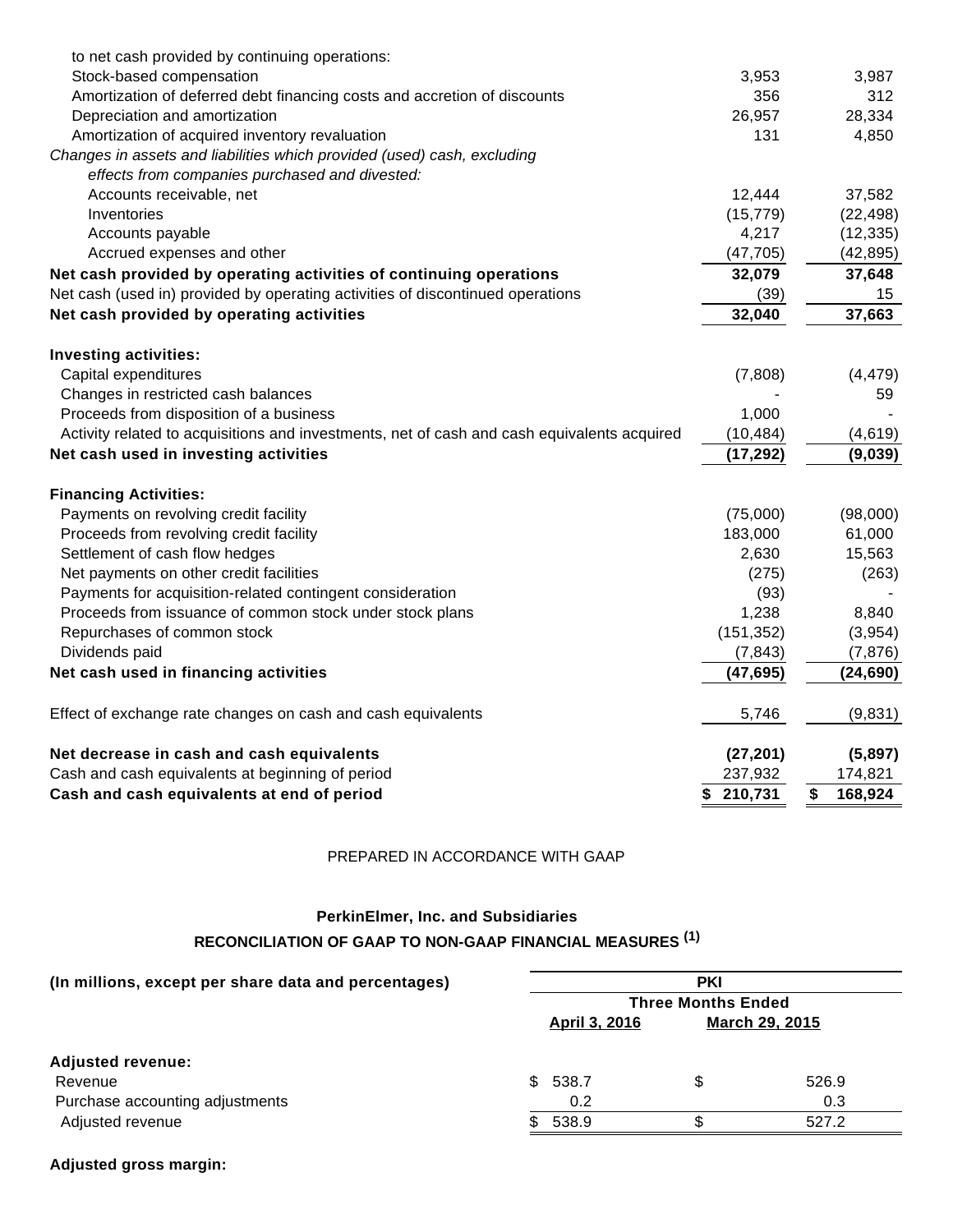| to net cash provided by continuing operations:                                              |            |               |
|---------------------------------------------------------------------------------------------|------------|---------------|
| Stock-based compensation                                                                    | 3,953      | 3,987         |
| Amortization of deferred debt financing costs and accretion of discounts                    | 356        | 312           |
| Depreciation and amortization                                                               | 26,957     | 28,334        |
| Amortization of acquired inventory revaluation                                              | 131        | 4,850         |
| Changes in assets and liabilities which provided (used) cash, excluding                     |            |               |
| effects from companies purchased and divested:                                              |            |               |
| Accounts receivable, net                                                                    | 12,444     | 37,582        |
| Inventories                                                                                 | (15, 779)  | (22, 498)     |
| Accounts payable                                                                            | 4,217      | (12, 335)     |
| Accrued expenses and other                                                                  | (47, 705)  | (42, 895)     |
| Net cash provided by operating activities of continuing operations                          | 32,079     | 37,648        |
| Net cash (used in) provided by operating activities of discontinued operations              | (39)       | 15            |
| Net cash provided by operating activities                                                   | 32,040     | 37,663        |
|                                                                                             |            |               |
| <b>Investing activities:</b>                                                                |            |               |
| Capital expenditures                                                                        | (7,808)    | (4, 479)      |
| Changes in restricted cash balances                                                         |            | 59            |
| Proceeds from disposition of a business                                                     | 1,000      |               |
| Activity related to acquisitions and investments, net of cash and cash equivalents acquired | (10, 484)  | (4, 619)      |
| Net cash used in investing activities                                                       | (17, 292)  | (9,039)       |
| <b>Financing Activities:</b>                                                                |            |               |
| Payments on revolving credit facility                                                       | (75,000)   | (98,000)      |
| Proceeds from revolving credit facility                                                     | 183,000    | 61,000        |
| Settlement of cash flow hedges                                                              | 2,630      | 15,563        |
| Net payments on other credit facilities                                                     | (275)      | (263)         |
| Payments for acquisition-related contingent consideration                                   | (93)       |               |
| Proceeds from issuance of common stock under stock plans                                    | 1,238      | 8,840         |
| Repurchases of common stock                                                                 | (151, 352) | (3,954)       |
| Dividends paid                                                                              | (7, 843)   | (7, 876)      |
| Net cash used in financing activities                                                       | (47, 695)  | (24, 690)     |
| Effect of exchange rate changes on cash and cash equivalents                                | 5,746      | (9,831)       |
| Net decrease in cash and cash equivalents                                                   | (27, 201)  | (5,897)       |
| Cash and cash equivalents at beginning of period                                            | 237,932    | 174,821       |
| Cash and cash equivalents at end of period                                                  | \$210,731  | \$<br>168,924 |

# PREPARED IN ACCORDANCE WITH GAAP

# **PerkinElmer, Inc. and Subsidiaries RECONCILIATION OF GAAP TO NON-GAAP FINANCIAL MEASURES (1)**

| (In millions, except per share data and percentages) | <b>PKI</b>                |   |                |  |
|------------------------------------------------------|---------------------------|---|----------------|--|
|                                                      | <b>Three Months Ended</b> |   |                |  |
|                                                      | <b>April 3, 2016</b>      |   | March 29, 2015 |  |
| <b>Adjusted revenue:</b>                             |                           |   |                |  |
| Revenue                                              | \$<br>538.7               | S | 526.9          |  |
| Purchase accounting adjustments                      | 0.2                       |   | 0.3            |  |
| Adjusted revenue                                     | 538.9                     |   | 527.2          |  |

# **Adjusted gross margin:**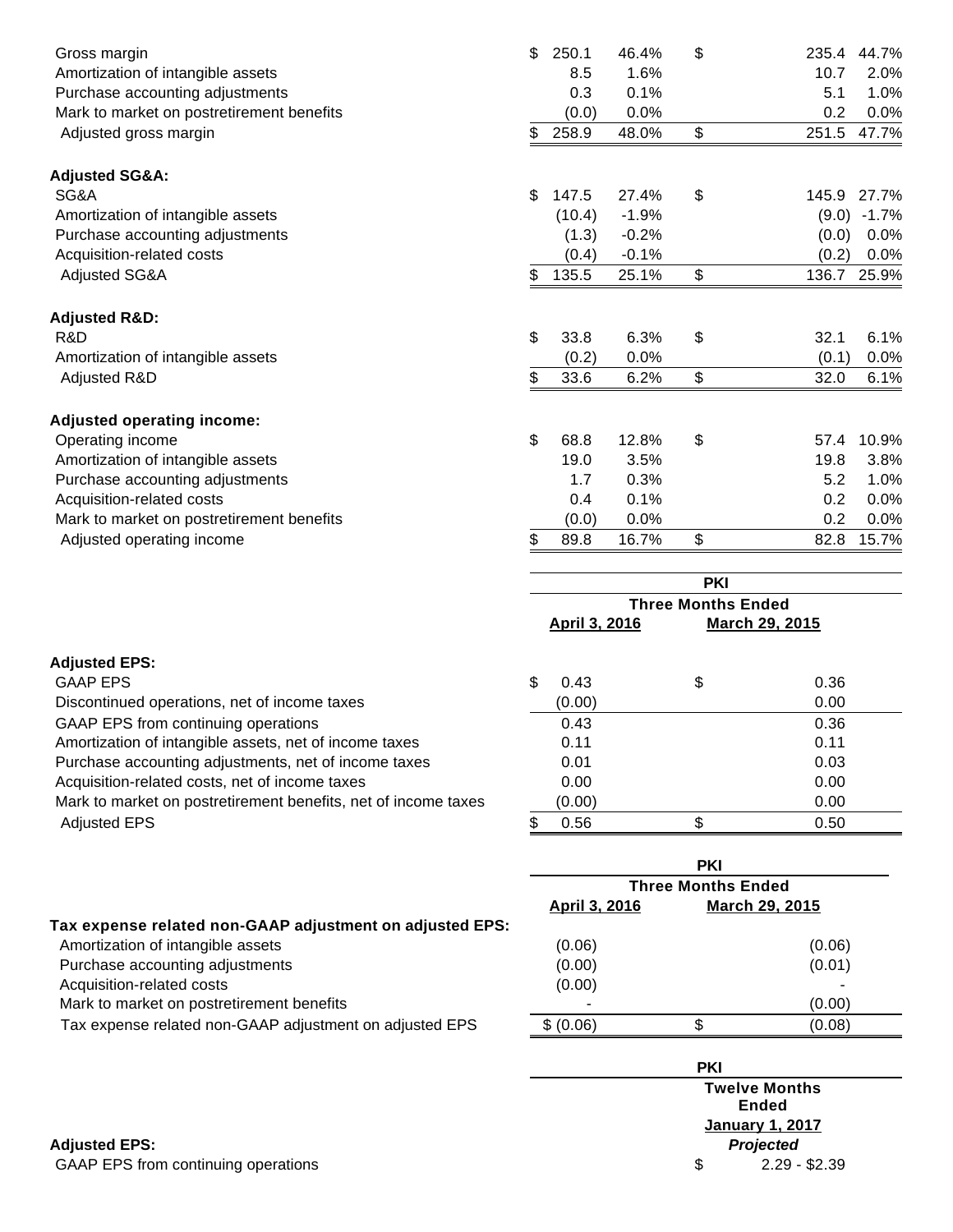| Gross margin                              | \$<br>250.1 | 46.4%   | \$<br>235.4 | 44.7%   |
|-------------------------------------------|-------------|---------|-------------|---------|
| Amortization of intangible assets         | 8.5         | 1.6%    | 10.7        | 2.0%    |
| Purchase accounting adjustments           | 0.3         | 0.1%    | 5.1         | 1.0%    |
| Mark to market on postretirement benefits | (0.0)       | 0.0%    | 0.2         | 0.0%    |
| Adjusted gross margin                     | 258.9       | 48.0%   | \$<br>251.5 | 47.7%   |
| <b>Adjusted SG&amp;A:</b>                 |             |         |             |         |
| SG&A                                      | \$<br>147.5 | 27.4%   | \$<br>145.9 | 27.7%   |
| Amortization of intangible assets         | (10.4)      | $-1.9%$ | (9.0)       | $-1.7%$ |
| Purchase accounting adjustments           | (1.3)       | $-0.2%$ | (0.0)       | 0.0%    |
| Acquisition-related costs                 | (0.4)       | $-0.1%$ | (0.2)       | 0.0%    |
| Adjusted SG&A                             | \$<br>135.5 | 25.1%   | \$<br>136.7 | 25.9%   |
| <b>Adjusted R&amp;D:</b>                  |             |         |             |         |
| R&D                                       | \$<br>33.8  | 6.3%    | \$<br>32.1  | 6.1%    |
| Amortization of intangible assets         | (0.2)       | 0.0%    | (0.1)       | 0.0%    |
| Adjusted R&D                              | \$<br>33.6  | 6.2%    | \$<br>32.0  | 6.1%    |
| <b>Adjusted operating income:</b>         |             |         |             |         |
| Operating income                          | \$<br>68.8  | 12.8%   | \$<br>57.4  | 10.9%   |
| Amortization of intangible assets         | 19.0        | 3.5%    | 19.8        | 3.8%    |
| Purchase accounting adjustments           | 1.7         | 0.3%    | 5.2         | 1.0%    |
| Acquisition-related costs                 | 0.4         | 0.1%    | 0.2         | 0.0%    |
| Mark to market on postretirement benefits | (0.0)       | 0.0%    | 0.2         | 0.0%    |
| Adjusted operating income                 | \$<br>89.8  | 16.7%   | \$<br>82.8  | 15.7%   |

|                                                                |                           | <b>PKI</b>            |      |  |
|----------------------------------------------------------------|---------------------------|-----------------------|------|--|
|                                                                | <b>Three Months Ended</b> |                       |      |  |
|                                                                | <b>April 3, 2016</b>      | <b>March 29, 2015</b> |      |  |
| <b>Adjusted EPS:</b>                                           |                           |                       |      |  |
| <b>GAAP EPS</b>                                                | \$<br>0.43                | \$                    | 0.36 |  |
| Discontinued operations, net of income taxes                   | (0.00)                    |                       | 0.00 |  |
| GAAP EPS from continuing operations                            | 0.43                      |                       | 0.36 |  |
| Amortization of intangible assets, net of income taxes         | 0.11                      |                       | 0.11 |  |
| Purchase accounting adjustments, net of income taxes           | 0.01                      |                       | 0.03 |  |
| Acquisition-related costs, net of income taxes                 | 0.00                      |                       | 0.00 |  |
| Mark to market on postretirement benefits, net of income taxes | (0.00)                    |                       | 0.00 |  |
| <b>Adjusted EPS</b>                                            | 0.56                      | \$                    | 0.50 |  |
|                                                                |                           | PKI                   |      |  |

|                                                          | <u>April 3, 2016</u> | March 29, 2015 |        |
|----------------------------------------------------------|----------------------|----------------|--------|
| Tax expense related non-GAAP adjustment on adjusted EPS: |                      |                |        |
| Amortization of intangible assets                        | (0.06)               |                | (0.06) |
| Purchase accounting adjustments                          | (0.00)               |                | (0.01) |
| Acquisition-related costs                                | (0.00)               |                |        |
| Mark to market on postretirement benefits                |                      |                | (0.00) |
| Tax expense related non-GAAP adjustment on adjusted EPS  | \$ (0.06)            |                | (0.08) |
|                                                          |                      |                |        |

**Three Months Ended**

|                                     | <b>PKI</b> |                      |
|-------------------------------------|------------|----------------------|
|                                     |            | <b>Twelve Months</b> |
|                                     |            | <b>Ended</b>         |
|                                     |            | January 1, 2017      |
| <b>Adjusted EPS:</b>                |            | <b>Projected</b>     |
| GAAP EPS from continuing operations | -SS        | $2.29 - $2.39$       |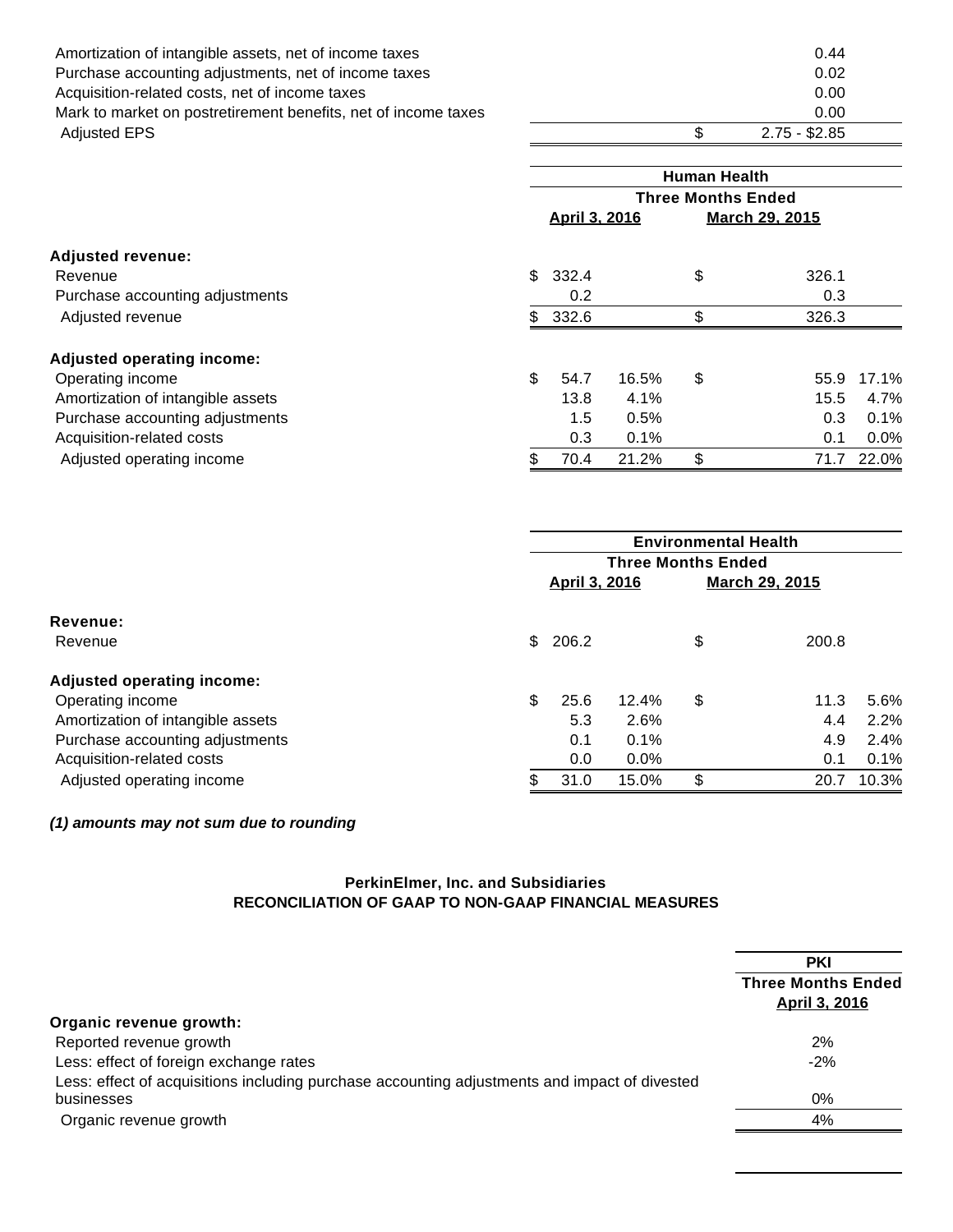Amortization of intangible assets, net of income taxes Purchase accounting adjustments, net of income taxes Acquisition-related costs, net of income taxes Mark to market on postretirement benefits, net of income ta Adjusted EPS

| axes | Ъ | 0.00<br>$2.75 - $2.85$ |  |
|------|---|------------------------|--|
|      |   | 0.00                   |  |
|      |   | 0.02                   |  |
|      |   | 0.44                   |  |
|      |   |                        |  |

|                                   | <b>Human Health</b>       |               |       |    |                       |          |
|-----------------------------------|---------------------------|---------------|-------|----|-----------------------|----------|
|                                   | <b>Three Months Ended</b> |               |       |    |                       |          |
|                                   |                           | April 3, 2016 |       |    | <b>March 29, 2015</b> |          |
| <b>Adjusted revenue:</b>          |                           |               |       |    |                       |          |
| Revenue                           | \$                        | 332.4         |       | \$ | 326.1                 |          |
| Purchase accounting adjustments   |                           | 0.2           |       |    | 0.3                   |          |
| Adjusted revenue                  |                           | \$332.6       |       | \$ | 326.3                 |          |
| <b>Adjusted operating income:</b> |                           |               |       |    |                       |          |
| Operating income                  | \$                        | 54.7          | 16.5% | \$ | 55.9                  | $17.1\%$ |
| Amortization of intangible assets |                           | 13.8          | 4.1%  |    | 15.5                  | 4.7%     |
| Purchase accounting adjustments   |                           | 1.5           | 0.5%  |    | 0.3                   | 0.1%     |
| Acquisition-related costs         |                           | 0.3           | 0.1%  |    | 0.1                   | $0.0\%$  |
| Adjusted operating income         | \$                        | 70.4          | 21.2% | \$ | 71.7                  | 22.0%    |

|                                   | <b>Environmental Health</b> |                      |       |    |                       |         |
|-----------------------------------|-----------------------------|----------------------|-------|----|-----------------------|---------|
|                                   | <b>Three Months Ended</b>   |                      |       |    |                       |         |
|                                   |                             | <b>April 3, 2016</b> |       |    | <b>March 29, 2015</b> |         |
| Revenue:                          |                             |                      |       |    |                       |         |
| Revenue                           | \$                          | 206.2                |       | \$ | 200.8                 |         |
| <b>Adjusted operating income:</b> |                             |                      |       |    |                       |         |
| Operating income                  | \$                          | 25.6                 | 12.4% | \$ | 11.3                  | $5.6\%$ |
| Amortization of intangible assets |                             | 5.3                  | 2.6%  |    | 4.4                   | 2.2%    |
| Purchase accounting adjustments   |                             | 0.1                  | 0.1%  |    | 4.9                   | 2.4%    |
| Acquisition-related costs         |                             | 0.0                  | 0.0%  |    | 0.1                   | 0.1%    |
| Adjusted operating income         | \$.                         | 31.0                 | 15.0% | \$ | 20.7                  | 10.3%   |

#### **(1) amounts may not sum due to rounding**

## **PerkinElmer, Inc. and Subsidiaries RECONCILIATION OF GAAP TO NON-GAAP FINANCIAL MEASURES**

|                                                                                               | <b>PKI</b><br><b>Three Months Ended</b> |  |
|-----------------------------------------------------------------------------------------------|-----------------------------------------|--|
|                                                                                               |                                         |  |
|                                                                                               | <b>April 3, 2016</b>                    |  |
| Organic revenue growth:                                                                       |                                         |  |
| Reported revenue growth                                                                       | 2%                                      |  |
| Less: effect of foreign exchange rates                                                        | $-2%$                                   |  |
| Less: effect of acquisitions including purchase accounting adjustments and impact of divested |                                         |  |
| businesses                                                                                    | $0\%$                                   |  |
| Organic revenue growth                                                                        | 4%                                      |  |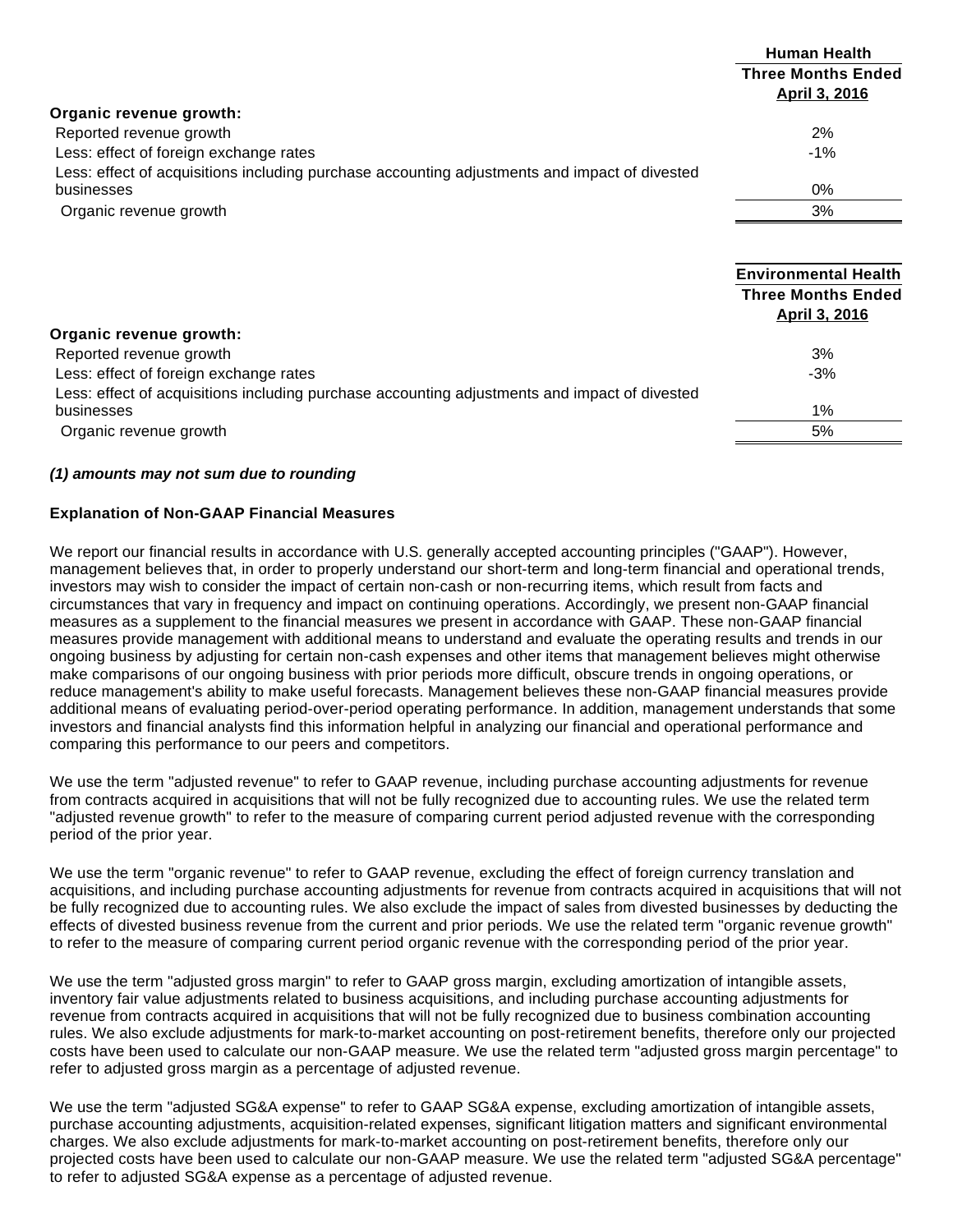|                                                                                               | <b>Human Health</b>         |
|-----------------------------------------------------------------------------------------------|-----------------------------|
|                                                                                               | <b>Three Months Ended</b>   |
|                                                                                               | <b>April 3, 2016</b>        |
| Organic revenue growth:                                                                       |                             |
| Reported revenue growth                                                                       | 2%                          |
| Less: effect of foreign exchange rates                                                        | $-1%$                       |
| Less: effect of acquisitions including purchase accounting adjustments and impact of divested |                             |
| businesses                                                                                    | $0\%$                       |
| Organic revenue growth                                                                        | 3%                          |
|                                                                                               |                             |
|                                                                                               | <b>Environmental Health</b> |
|                                                                                               | <b>Three Months Ended</b>   |
|                                                                                               | April 3, 2016               |

# **Organic revenue growth:**

Reported revenue growth 3% Less: effect of foreign exchange rates -3% Less: effect of acquisitions including purchase accounting adjustments and impact of divested businesses 1% Organic revenue growth 5%

#### **(1) amounts may not sum due to rounding**

#### **Explanation of Non-GAAP Financial Measures**

We report our financial results in accordance with U.S. generally accepted accounting principles ("GAAP"). However, management believes that, in order to properly understand our short-term and long-term financial and operational trends, investors may wish to consider the impact of certain non-cash or non-recurring items, which result from facts and circumstances that vary in frequency and impact on continuing operations. Accordingly, we present non-GAAP financial measures as a supplement to the financial measures we present in accordance with GAAP. These non-GAAP financial measures provide management with additional means to understand and evaluate the operating results and trends in our ongoing business by adjusting for certain non-cash expenses and other items that management believes might otherwise make comparisons of our ongoing business with prior periods more difficult, obscure trends in ongoing operations, or reduce management's ability to make useful forecasts. Management believes these non-GAAP financial measures provide additional means of evaluating period-over-period operating performance. In addition, management understands that some investors and financial analysts find this information helpful in analyzing our financial and operational performance and comparing this performance to our peers and competitors.

We use the term "adjusted revenue" to refer to GAAP revenue, including purchase accounting adjustments for revenue from contracts acquired in acquisitions that will not be fully recognized due to accounting rules. We use the related term "adjusted revenue growth" to refer to the measure of comparing current period adjusted revenue with the corresponding period of the prior year.

We use the term "organic revenue" to refer to GAAP revenue, excluding the effect of foreign currency translation and acquisitions, and including purchase accounting adjustments for revenue from contracts acquired in acquisitions that will not be fully recognized due to accounting rules. We also exclude the impact of sales from divested businesses by deducting the effects of divested business revenue from the current and prior periods. We use the related term "organic revenue growth" to refer to the measure of comparing current period organic revenue with the corresponding period of the prior year.

We use the term "adjusted gross margin" to refer to GAAP gross margin, excluding amortization of intangible assets, inventory fair value adjustments related to business acquisitions, and including purchase accounting adjustments for revenue from contracts acquired in acquisitions that will not be fully recognized due to business combination accounting rules. We also exclude adjustments for mark-to-market accounting on post-retirement benefits, therefore only our projected costs have been used to calculate our non-GAAP measure. We use the related term "adjusted gross margin percentage" to refer to adjusted gross margin as a percentage of adjusted revenue.

We use the term "adjusted SG&A expense" to refer to GAAP SG&A expense, excluding amortization of intangible assets, purchase accounting adjustments, acquisition-related expenses, significant litigation matters and significant environmental charges. We also exclude adjustments for mark-to-market accounting on post-retirement benefits, therefore only our projected costs have been used to calculate our non-GAAP measure. We use the related term "adjusted SG&A percentage" to refer to adjusted SG&A expense as a percentage of adjusted revenue.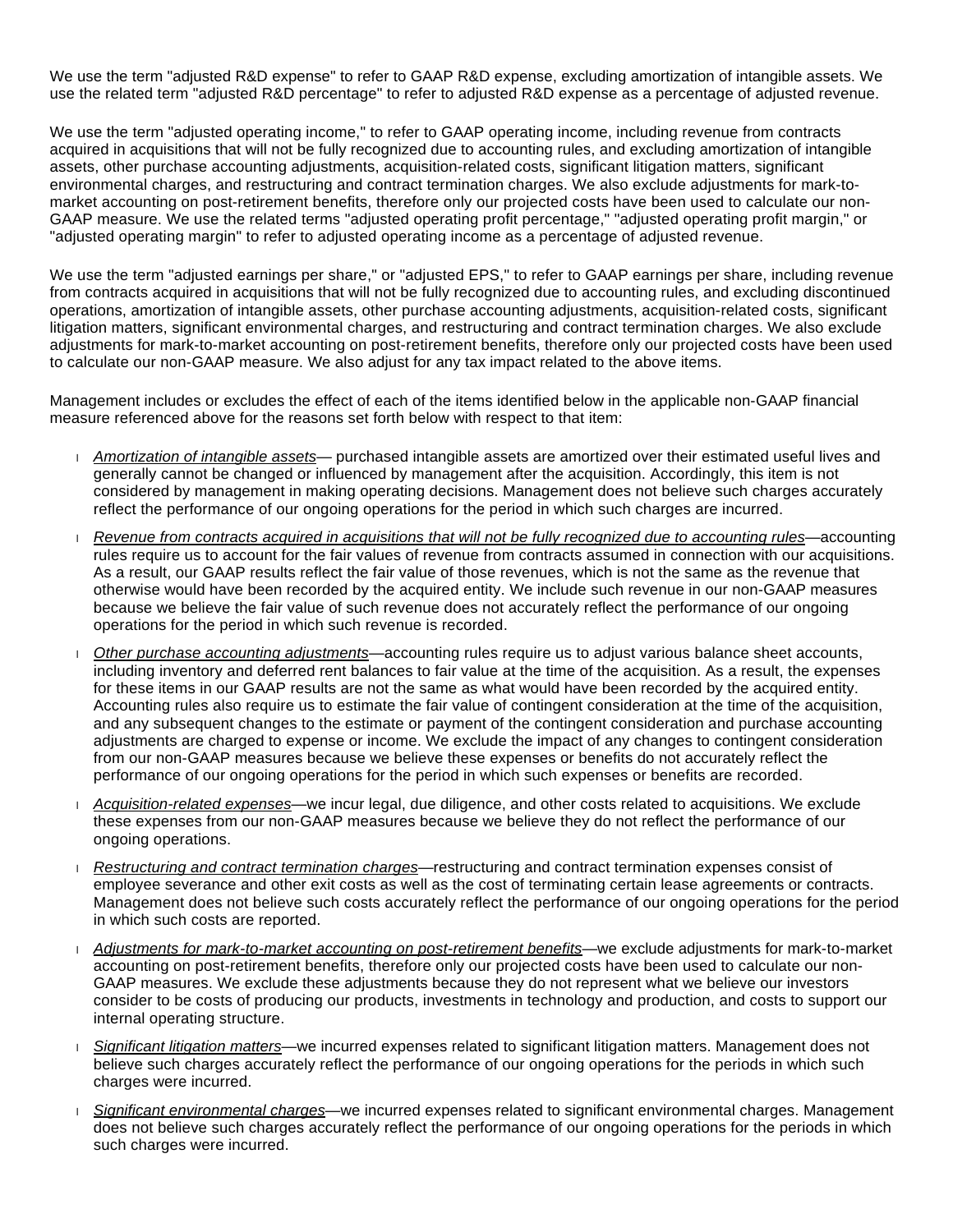We use the term "adjusted R&D expense" to refer to GAAP R&D expense, excluding amortization of intangible assets. We use the related term "adjusted R&D percentage" to refer to adjusted R&D expense as a percentage of adjusted revenue.

We use the term "adjusted operating income," to refer to GAAP operating income, including revenue from contracts acquired in acquisitions that will not be fully recognized due to accounting rules, and excluding amortization of intangible assets, other purchase accounting adjustments, acquisition-related costs, significant litigation matters, significant environmental charges, and restructuring and contract termination charges. We also exclude adjustments for mark-tomarket accounting on post-retirement benefits, therefore only our projected costs have been used to calculate our non-GAAP measure. We use the related terms "adjusted operating profit percentage," "adjusted operating profit margin," or "adjusted operating margin" to refer to adjusted operating income as a percentage of adjusted revenue.

We use the term "adjusted earnings per share," or "adjusted EPS," to refer to GAAP earnings per share, including revenue from contracts acquired in acquisitions that will not be fully recognized due to accounting rules, and excluding discontinued operations, amortization of intangible assets, other purchase accounting adjustments, acquisition-related costs, significant litigation matters, significant environmental charges, and restructuring and contract termination charges. We also exclude adjustments for mark-to-market accounting on post-retirement benefits, therefore only our projected costs have been used to calculate our non-GAAP measure. We also adjust for any tax impact related to the above items.

Management includes or excludes the effect of each of the items identified below in the applicable non-GAAP financial measure referenced above for the reasons set forth below with respect to that item:

- Amortization of intangible assets— purchased intangible assets are amortized over their estimated useful lives and generally cannot be changed or influenced by management after the acquisition. Accordingly, this item is not considered by management in making operating decisions. Management does not believe such charges accurately reflect the performance of our ongoing operations for the period in which such charges are incurred.
- Revenue from contracts acquired in acquisitions that will not be fully recognized due to accounting rules—accounting rules require us to account for the fair values of revenue from contracts assumed in connection with our acquisitions. As a result, our GAAP results reflect the fair value of those revenues, which is not the same as the revenue that otherwise would have been recorded by the acquired entity. We include such revenue in our non-GAAP measures because we believe the fair value of such revenue does not accurately reflect the performance of our ongoing operations for the period in which such revenue is recorded.
- Other purchase accounting adjustments—accounting rules require us to adjust various balance sheet accounts, including inventory and deferred rent balances to fair value at the time of the acquisition. As a result, the expenses for these items in our GAAP results are not the same as what would have been recorded by the acquired entity. Accounting rules also require us to estimate the fair value of contingent consideration at the time of the acquisition, and any subsequent changes to the estimate or payment of the contingent consideration and purchase accounting adjustments are charged to expense or income. We exclude the impact of any changes to contingent consideration from our non-GAAP measures because we believe these expenses or benefits do not accurately reflect the performance of our ongoing operations for the period in which such expenses or benefits are recorded.
- Acquisition-related expenses—we incur legal, due diligence, and other costs related to acquisitions. We exclude these expenses from our non-GAAP measures because we believe they do not reflect the performance of our ongoing operations.
- Restructuring and contract termination charges—restructuring and contract termination expenses consist of employee severance and other exit costs as well as the cost of terminating certain lease agreements or contracts. Management does not believe such costs accurately reflect the performance of our ongoing operations for the period in which such costs are reported.
- Adjustments for mark-to-market accounting on post-retirement benefits—we exclude adjustments for mark-to-market accounting on post-retirement benefits, therefore only our projected costs have been used to calculate our non-GAAP measures. We exclude these adjustments because they do not represent what we believe our investors consider to be costs of producing our products, investments in technology and production, and costs to support our internal operating structure.
- Significant litigation matters—we incurred expenses related to significant litigation matters. Management does not believe such charges accurately reflect the performance of our ongoing operations for the periods in which such charges were incurred.
- Significant environmental charges—we incurred expenses related to significant environmental charges. Management does not believe such charges accurately reflect the performance of our ongoing operations for the periods in which such charges were incurred.